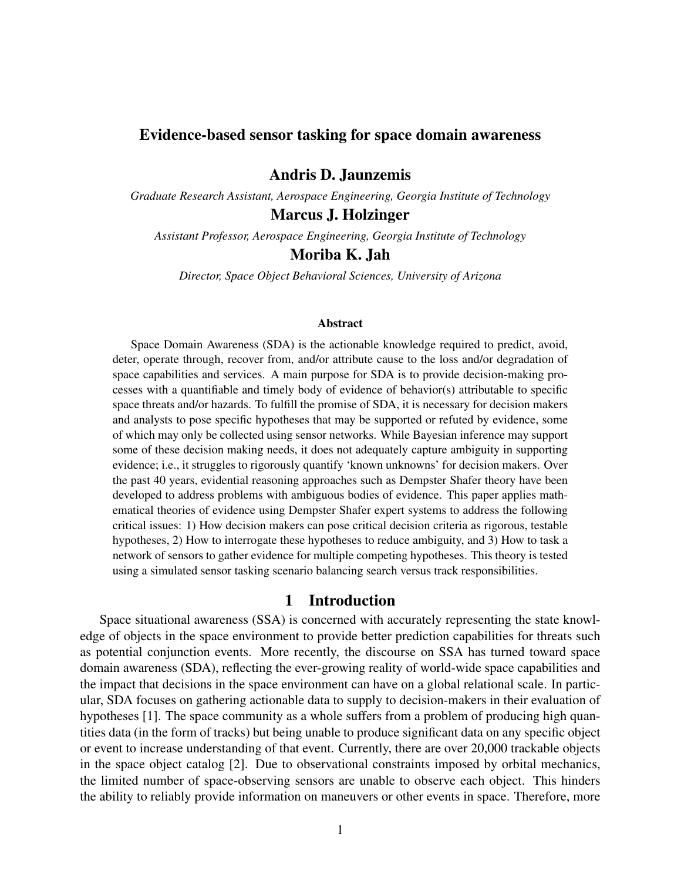# Evidence-based sensor tasking for space domain awareness

Andris D. Jaunzemis

*Graduate Research Assistant, Aerospace Engineering, Georgia Institute of Technology*

Marcus J. Holzinger

*Assistant Professor, Aerospace Engineering, Georgia Institute of Technology*

# Moriba K. Jah

*Director, Space Object Behavioral Sciences, University of Arizona*

#### Abstract

Space Domain Awareness (SDA) is the actionable knowledge required to predict, avoid, deter, operate through, recover from, and/or attribute cause to the loss and/or degradation of space capabilities and services. A main purpose for SDA is to provide decision-making processes with a quantifiable and timely body of evidence of behavior(s) attributable to specific space threats and/or hazards. To fulfill the promise of SDA, it is necessary for decision makers and analysts to pose specific hypotheses that may be supported or refuted by evidence, some of which may only be collected using sensor networks. While Bayesian inference may support some of these decision making needs, it does not adequately capture ambiguity in supporting evidence; i.e., it struggles to rigorously quantify 'known unknowns' for decision makers. Over the past 40 years, evidential reasoning approaches such as Dempster Shafer theory have been developed to address problems with ambiguous bodies of evidence. This paper applies mathematical theories of evidence using Dempster Shafer expert systems to address the following critical issues: 1) How decision makers can pose critical decision criteria as rigorous, testable hypotheses, 2) How to interrogate these hypotheses to reduce ambiguity, and 3) How to task a network of sensors to gather evidence for multiple competing hypotheses. This theory is tested using a simulated sensor tasking scenario balancing search versus track responsibilities.

# 1 Introduction

Space situational awareness (SSA) is concerned with accurately representing the state knowledge of objects in the space environment to provide better prediction capabilities for threats such as potential conjunction events. More recently, the discourse on SSA has turned toward space domain awareness (SDA), reflecting the ever-growing reality of world-wide space capabilities and the impact that decisions in the space environment can have on a global relational scale. In particular, SDA focuses on gathering actionable data to supply to decision-makers in their evaluation of hypotheses [1]. The space community as a whole suffers from a problem of producing high quantities data (in the form of tracks) but being unable to produce significant data on any specific object or event to increase understanding of that event. Currently, there are over 20,000 trackable objects in the space object catalog [2]. Due to observational constraints imposed by orbital mechanics, the limited number of space-observing sensors are unable to observe each object. This hinders the ability to reliably provide information on maneuvers or other events in space. Therefore, more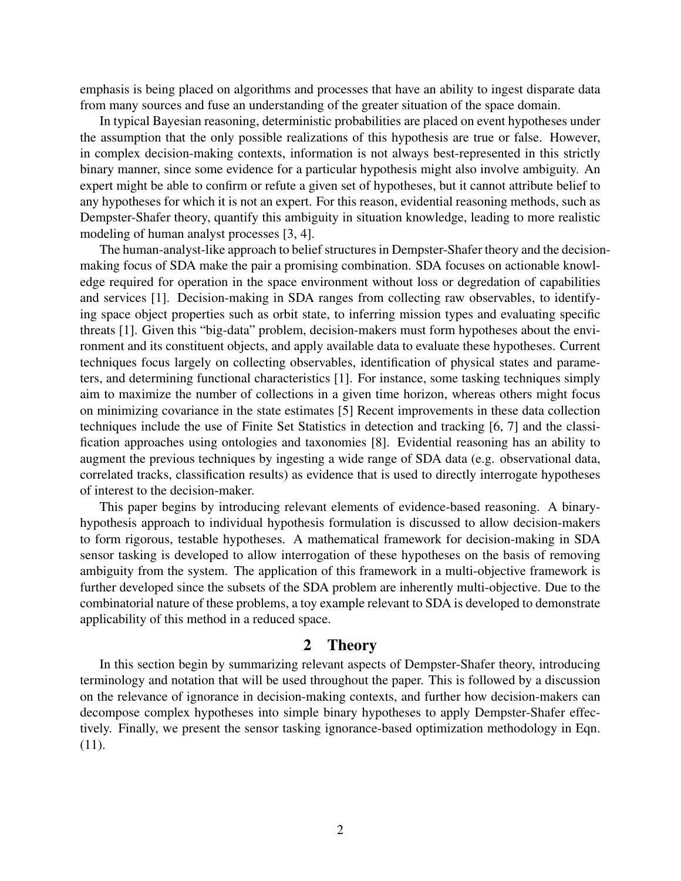emphasis is being placed on algorithms and processes that have an ability to ingest disparate data from many sources and fuse an understanding of the greater situation of the space domain.

In typical Bayesian reasoning, deterministic probabilities are placed on event hypotheses under the assumption that the only possible realizations of this hypothesis are true or false. However, in complex decision-making contexts, information is not always best-represented in this strictly binary manner, since some evidence for a particular hypothesis might also involve ambiguity. An expert might be able to confirm or refute a given set of hypotheses, but it cannot attribute belief to any hypotheses for which it is not an expert. For this reason, evidential reasoning methods, such as Dempster-Shafer theory, quantify this ambiguity in situation knowledge, leading to more realistic modeling of human analyst processes [3, 4].

The human-analyst-like approach to belief structures in Dempster-Shafer theory and the decisionmaking focus of SDA make the pair a promising combination. SDA focuses on actionable knowledge required for operation in the space environment without loss or degredation of capabilities and services [1]. Decision-making in SDA ranges from collecting raw observables, to identifying space object properties such as orbit state, to inferring mission types and evaluating specific threats [1]. Given this "big-data" problem, decision-makers must form hypotheses about the environment and its constituent objects, and apply available data to evaluate these hypotheses. Current techniques focus largely on collecting observables, identification of physical states and parameters, and determining functional characteristics [1]. For instance, some tasking techniques simply aim to maximize the number of collections in a given time horizon, whereas others might focus on minimizing covariance in the state estimates [5] Recent improvements in these data collection techniques include the use of Finite Set Statistics in detection and tracking [6, 7] and the classification approaches using ontologies and taxonomies [8]. Evidential reasoning has an ability to augment the previous techniques by ingesting a wide range of SDA data (e.g. observational data, correlated tracks, classification results) as evidence that is used to directly interrogate hypotheses of interest to the decision-maker.

This paper begins by introducing relevant elements of evidence-based reasoning. A binaryhypothesis approach to individual hypothesis formulation is discussed to allow decision-makers to form rigorous, testable hypotheses. A mathematical framework for decision-making in SDA sensor tasking is developed to allow interrogation of these hypotheses on the basis of removing ambiguity from the system. The application of this framework in a multi-objective framework is further developed since the subsets of the SDA problem are inherently multi-objective. Due to the combinatorial nature of these problems, a toy example relevant to SDA is developed to demonstrate applicability of this method in a reduced space.

# 2 Theory

In this section begin by summarizing relevant aspects of Dempster-Shafer theory, introducing terminology and notation that will be used throughout the paper. This is followed by a discussion on the relevance of ignorance in decision-making contexts, and further how decision-makers can decompose complex hypotheses into simple binary hypotheses to apply Dempster-Shafer effectively. Finally, we present the sensor tasking ignorance-based optimization methodology in Eqn. (11).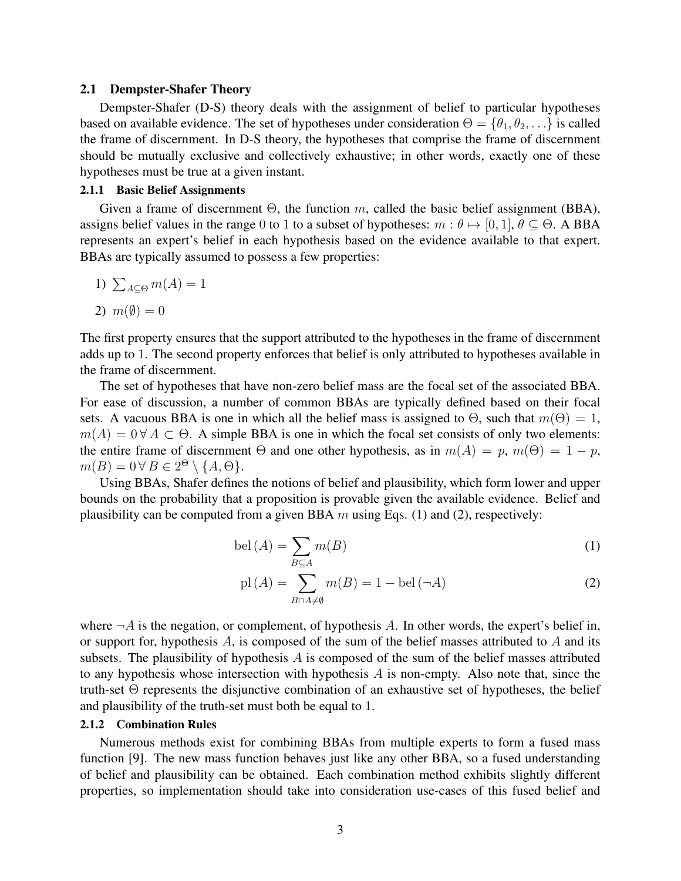#### 2.1 Dempster-Shafer Theory

Dempster-Shafer (D-S) theory deals with the assignment of belief to particular hypotheses based on available evidence. The set of hypotheses under consideration  $\Theta = \{\theta_1, \theta_2, \dots\}$  is called the frame of discernment. In D-S theory, the hypotheses that comprise the frame of discernment should be mutually exclusive and collectively exhaustive; in other words, exactly one of these hypotheses must be true at a given instant.

## 2.1.1 Basic Belief Assignments

Given a frame of discernment  $\Theta$ , the function m, called the basic belief assignment (BBA), assigns belief values in the range 0 to 1 to a subset of hypotheses:  $m : \theta \mapsto [0, 1], \theta \subseteq \Theta$ . A BBA represents an expert's belief in each hypothesis based on the evidence available to that expert. BBAs are typically assumed to possess a few properties:

1) 
$$
\sum_{A \subseteq \Theta} m(A) = 1
$$

$$
2) m(\emptyset) = 0
$$

The first property ensures that the support attributed to the hypotheses in the frame of discernment adds up to 1. The second property enforces that belief is only attributed to hypotheses available in the frame of discernment.

The set of hypotheses that have non-zero belief mass are the focal set of the associated BBA. For ease of discussion, a number of common BBAs are typically defined based on their focal sets. A vacuous BBA is one in which all the belief mass is assigned to  $\Theta$ , such that  $m(\Theta) = 1$ ,  $m(A) = 0 \forall A \subset \Theta$ . A simple BBA is one in which the focal set consists of only two elements: the entire frame of discernment  $\Theta$  and one other hypothesis, as in  $m(A) = p$ ,  $m(\Theta) = 1 - p$ ,  $m(B) = 0 \,\forall B \in 2^{\Theta} \setminus \{A, \Theta\}.$ 

Using BBAs, Shafer defines the notions of belief and plausibility, which form lower and upper bounds on the probability that a proposition is provable given the available evidence. Belief and plausibility can be computed from a given BBA  $m$  using Eqs. (1) and (2), respectively:

$$
bel(A) = \sum_{B \subseteq A} m(B)
$$
 (1)

$$
\text{pl}(A) = \sum_{B \cap A \neq \emptyset} m(B) = 1 - \text{bel}(\neg A)
$$
 (2)

where  $\neg A$  is the negation, or complement, of hypothesis A. In other words, the expert's belief in, or support for, hypothesis  $A$ , is composed of the sum of the belief masses attributed to  $A$  and its subsets. The plausibility of hypothesis  $A$  is composed of the sum of the belief masses attributed to any hypothesis whose intersection with hypothesis  $A$  is non-empty. Also note that, since the truth-set Θ represents the disjunctive combination of an exhaustive set of hypotheses, the belief and plausibility of the truth-set must both be equal to 1.

#### 2.1.2 Combination Rules

Numerous methods exist for combining BBAs from multiple experts to form a fused mass function [9]. The new mass function behaves just like any other BBA, so a fused understanding of belief and plausibility can be obtained. Each combination method exhibits slightly different properties, so implementation should take into consideration use-cases of this fused belief and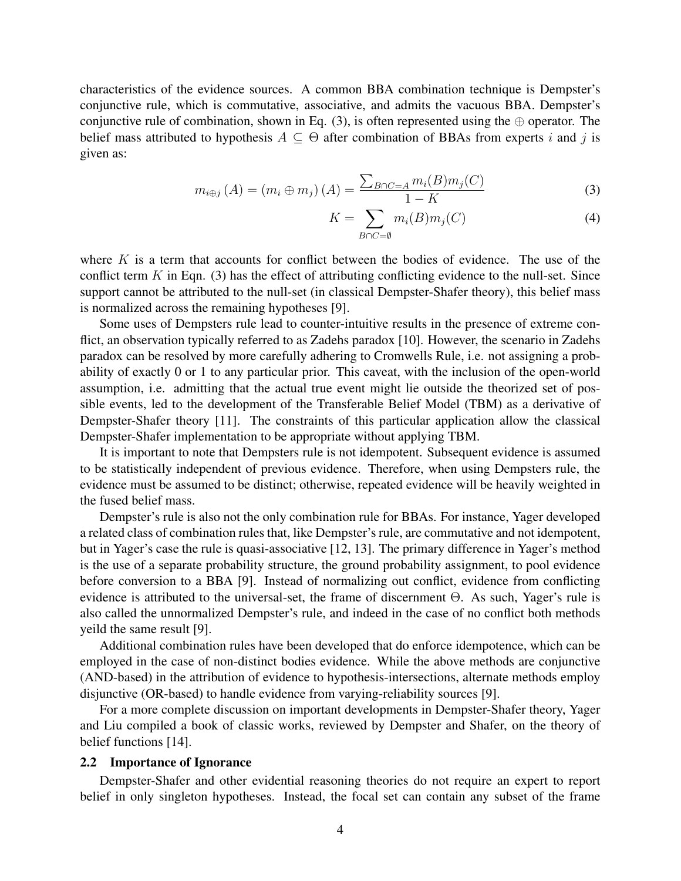characteristics of the evidence sources. A common BBA combination technique is Dempster's conjunctive rule, which is commutative, associative, and admits the vacuous BBA. Dempster's conjunctive rule of combination, shown in Eq. (3), is often represented using the  $oplus$  operator. The belief mass attributed to hypothesis  $A \subseteq \Theta$  after combination of BBAs from experts i and j is given as:

$$
m_{i \oplus j} (A) = (m_i \oplus m_j) (A) = \frac{\sum_{B \cap C = A} m_i(B) m_j(C)}{1 - K}
$$
 (3)

$$
K = \sum_{B \cap C = \emptyset} m_i(B)m_j(C) \tag{4}
$$

where  $K$  is a term that accounts for conflict between the bodies of evidence. The use of the conflict term  $K$  in Eqn. (3) has the effect of attributing conflicting evidence to the null-set. Since support cannot be attributed to the null-set (in classical Dempster-Shafer theory), this belief mass is normalized across the remaining hypotheses [9].

Some uses of Dempsters rule lead to counter-intuitive results in the presence of extreme conflict, an observation typically referred to as Zadehs paradox [10]. However, the scenario in Zadehs paradox can be resolved by more carefully adhering to Cromwells Rule, i.e. not assigning a probability of exactly 0 or 1 to any particular prior. This caveat, with the inclusion of the open-world assumption, i.e. admitting that the actual true event might lie outside the theorized set of possible events, led to the development of the Transferable Belief Model (TBM) as a derivative of Dempster-Shafer theory [11]. The constraints of this particular application allow the classical Dempster-Shafer implementation to be appropriate without applying TBM.

It is important to note that Dempsters rule is not idempotent. Subsequent evidence is assumed to be statistically independent of previous evidence. Therefore, when using Dempsters rule, the evidence must be assumed to be distinct; otherwise, repeated evidence will be heavily weighted in the fused belief mass.

Dempster's rule is also not the only combination rule for BBAs. For instance, Yager developed a related class of combination rules that, like Dempster's rule, are commutative and not idempotent, but in Yager's case the rule is quasi-associative [12, 13]. The primary difference in Yager's method is the use of a separate probability structure, the ground probability assignment, to pool evidence before conversion to a BBA [9]. Instead of normalizing out conflict, evidence from conflicting evidence is attributed to the universal-set, the frame of discernment Θ. As such, Yager's rule is also called the unnormalized Dempster's rule, and indeed in the case of no conflict both methods yeild the same result [9].

Additional combination rules have been developed that do enforce idempotence, which can be employed in the case of non-distinct bodies evidence. While the above methods are conjunctive (AND-based) in the attribution of evidence to hypothesis-intersections, alternate methods employ disjunctive (OR-based) to handle evidence from varying-reliability sources [9].

For a more complete discussion on important developments in Dempster-Shafer theory, Yager and Liu compiled a book of classic works, reviewed by Dempster and Shafer, on the theory of belief functions [14].

#### 2.2 Importance of Ignorance

Dempster-Shafer and other evidential reasoning theories do not require an expert to report belief in only singleton hypotheses. Instead, the focal set can contain any subset of the frame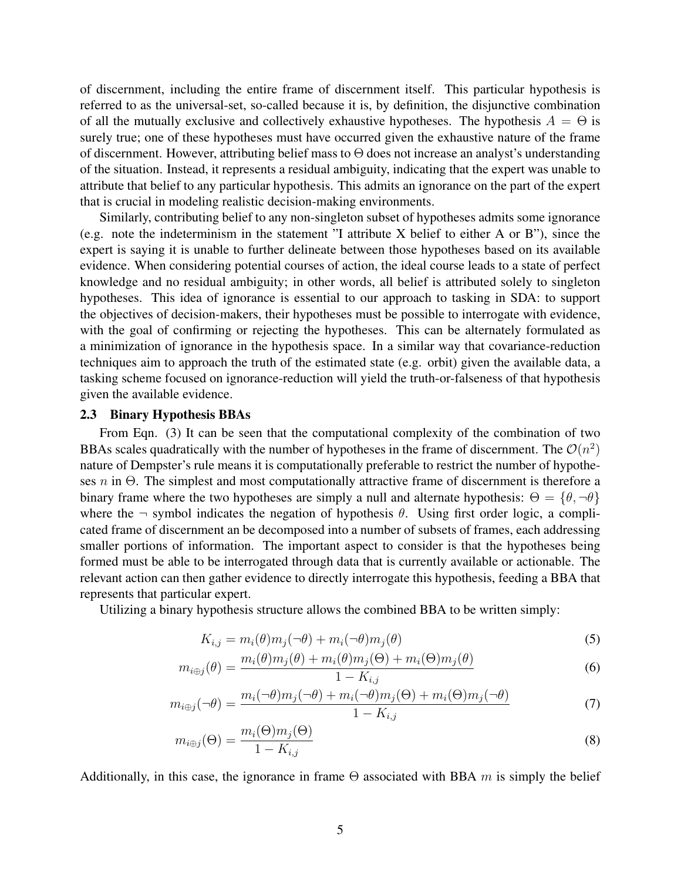of discernment, including the entire frame of discernment itself. This particular hypothesis is referred to as the universal-set, so-called because it is, by definition, the disjunctive combination of all the mutually exclusive and collectively exhaustive hypotheses. The hypothesis  $A = \Theta$  is surely true; one of these hypotheses must have occurred given the exhaustive nature of the frame of discernment. However, attributing belief mass to Θ does not increase an analyst's understanding of the situation. Instead, it represents a residual ambiguity, indicating that the expert was unable to attribute that belief to any particular hypothesis. This admits an ignorance on the part of the expert that is crucial in modeling realistic decision-making environments.

Similarly, contributing belief to any non-singleton subset of hypotheses admits some ignorance (e.g. note the indeterminism in the statement "I attribute X belief to either A or B"), since the expert is saying it is unable to further delineate between those hypotheses based on its available evidence. When considering potential courses of action, the ideal course leads to a state of perfect knowledge and no residual ambiguity; in other words, all belief is attributed solely to singleton hypotheses. This idea of ignorance is essential to our approach to tasking in SDA: to support the objectives of decision-makers, their hypotheses must be possible to interrogate with evidence, with the goal of confirming or rejecting the hypotheses. This can be alternately formulated as a minimization of ignorance in the hypothesis space. In a similar way that covariance-reduction techniques aim to approach the truth of the estimated state (e.g. orbit) given the available data, a tasking scheme focused on ignorance-reduction will yield the truth-or-falseness of that hypothesis given the available evidence.

#### 2.3 Binary Hypothesis BBAs

From Eqn. (3) It can be seen that the computational complexity of the combination of two BBAs scales quadratically with the number of hypotheses in the frame of discernment. The  $\mathcal{O}(n^2)$ nature of Dempster's rule means it is computationally preferable to restrict the number of hypotheses n in Θ. The simplest and most computationally attractive frame of discernment is therefore a binary frame where the two hypotheses are simply a null and alternate hypothesis:  $\Theta = \{\theta, \neg \theta\}$ where the  $\neg$  symbol indicates the negation of hypothesis  $\theta$ . Using first order logic, a complicated frame of discernment an be decomposed into a number of subsets of frames, each addressing smaller portions of information. The important aspect to consider is that the hypotheses being formed must be able to be interrogated through data that is currently available or actionable. The relevant action can then gather evidence to directly interrogate this hypothesis, feeding a BBA that represents that particular expert.

Utilizing a binary hypothesis structure allows the combined BBA to be written simply:

$$
K_{i,j} = m_i(\theta) m_j(\neg \theta) + m_i(\neg \theta) m_j(\theta)
$$
\n<sup>(5)</sup>

$$
m_{i\oplus j}(\theta) = \frac{m_i(\theta)m_j(\theta) + m_i(\theta)m_j(\Theta) + m_i(\Theta)m_j(\theta)}{1 - K_{i,j}}
$$
(6)

$$
m_{i\oplus j}(\neg\theta) = \frac{m_i(\neg\theta)m_j(\neg\theta) + m_i(\neg\theta)m_j(\Theta) + m_i(\Theta)m_j(\neg\theta)}{1 - K_{i,j}} \tag{7}
$$

$$
m_{i \oplus j}(\Theta) = \frac{m_i(\Theta)m_j(\Theta)}{1 - K_{i,j}} \tag{8}
$$

Additionally, in this case, the ignorance in frame  $\Theta$  associated with BBA m is simply the belief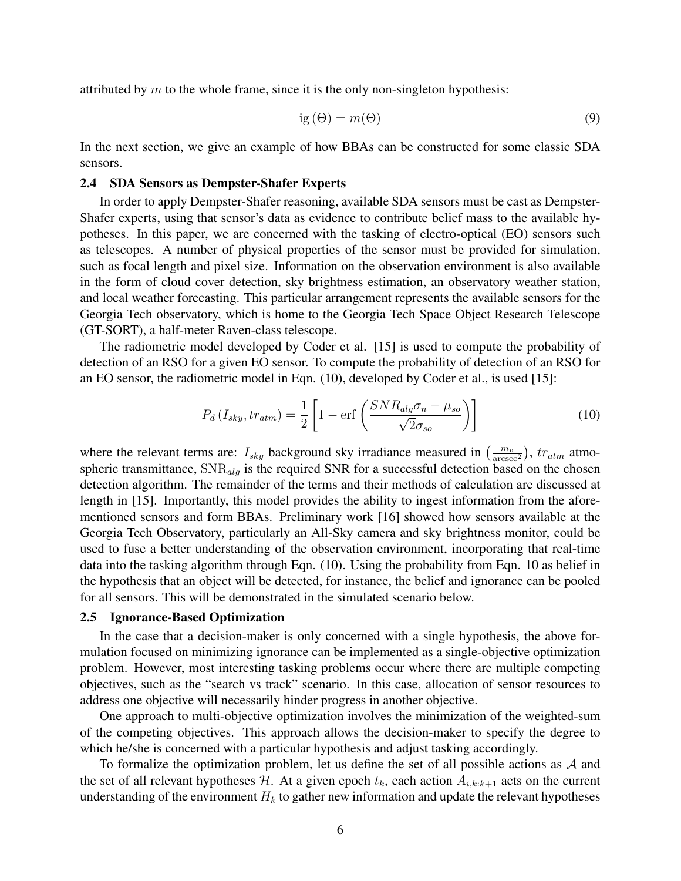attributed by  $m$  to the whole frame, since it is the only non-singleton hypothesis:

$$
ig(\Theta) = m(\Theta) \tag{9}
$$

In the next section, we give an example of how BBAs can be constructed for some classic SDA sensors.

#### 2.4 SDA Sensors as Dempster-Shafer Experts

In order to apply Dempster-Shafer reasoning, available SDA sensors must be cast as Dempster-Shafer experts, using that sensor's data as evidence to contribute belief mass to the available hypotheses. In this paper, we are concerned with the tasking of electro-optical (EO) sensors such as telescopes. A number of physical properties of the sensor must be provided for simulation, such as focal length and pixel size. Information on the observation environment is also available in the form of cloud cover detection, sky brightness estimation, an observatory weather station, and local weather forecasting. This particular arrangement represents the available sensors for the Georgia Tech observatory, which is home to the Georgia Tech Space Object Research Telescope (GT-SORT), a half-meter Raven-class telescope.

The radiometric model developed by Coder et al. [15] is used to compute the probability of detection of an RSO for a given EO sensor. To compute the probability of detection of an RSO for an EO sensor, the radiometric model in Eqn. (10), developed by Coder et al., is used [15]:

$$
P_d\left(I_{sky}, tr_{atm}\right) = \frac{1}{2} \left[1 - \text{erf}\left(\frac{SNR_{alg}\sigma_n - \mu_{so}}{\sqrt{2}\sigma_{so}}\right)\right]
$$
(10)

where the relevant terms are:  $I_{sky}$  background sky irradiance measured in  $\left(\frac{m_v}{\text{arcsec}^2}\right)$ ,  $tr_{atm}$  atmospheric transmittance,  $SNR_{alg}$  is the required SNR for a successful detection based on the chosen detection algorithm. The remainder of the terms and their methods of calculation are discussed at length in [15]. Importantly, this model provides the ability to ingest information from the aforementioned sensors and form BBAs. Preliminary work [16] showed how sensors available at the Georgia Tech Observatory, particularly an All-Sky camera and sky brightness monitor, could be used to fuse a better understanding of the observation environment, incorporating that real-time data into the tasking algorithm through Eqn. (10). Using the probability from Eqn. 10 as belief in the hypothesis that an object will be detected, for instance, the belief and ignorance can be pooled for all sensors. This will be demonstrated in the simulated scenario below.

#### 2.5 Ignorance-Based Optimization

In the case that a decision-maker is only concerned with a single hypothesis, the above formulation focused on minimizing ignorance can be implemented as a single-objective optimization problem. However, most interesting tasking problems occur where there are multiple competing objectives, such as the "search vs track" scenario. In this case, allocation of sensor resources to address one objective will necessarily hinder progress in another objective.

One approach to multi-objective optimization involves the minimization of the weighted-sum of the competing objectives. This approach allows the decision-maker to specify the degree to which he/she is concerned with a particular hypothesis and adjust tasking accordingly.

To formalize the optimization problem, let us define the set of all possible actions as  $A$  and the set of all relevant hypotheses H. At a given epoch  $t_k$ , each action  $A_{i,k:k+1}$  acts on the current understanding of the environment  $H_k$  to gather new information and update the relevant hypotheses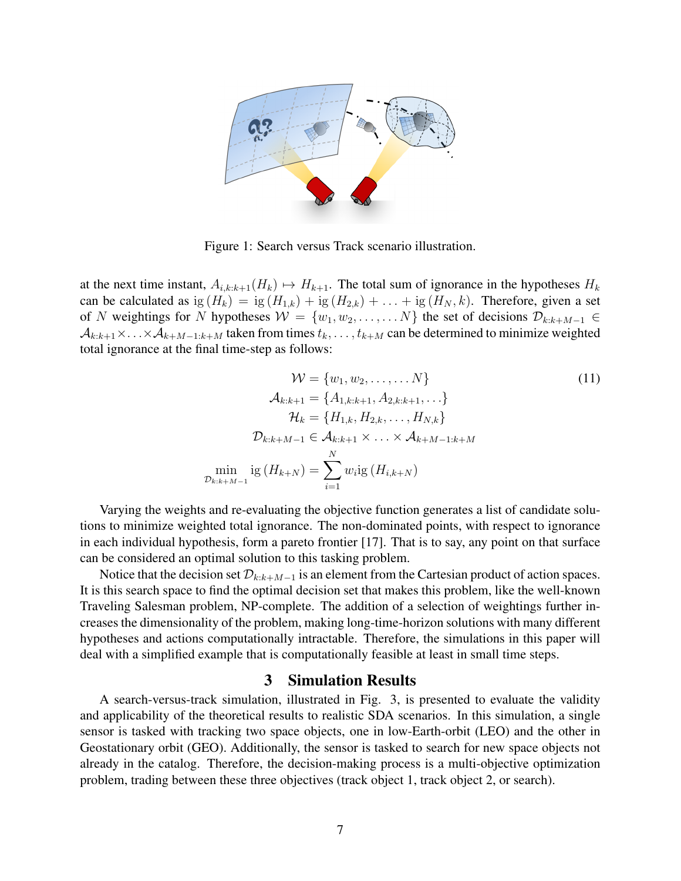

Figure 1: Search versus Track scenario illustration.

at the next time instant,  $A_{i,k:k+1}(H_k) \mapsto H_{k+1}$ . The total sum of ignorance in the hypotheses  $H_k$ can be calculated as ig  $(H_k) = ig(H_{1,k}) + ig(H_{2,k}) + ... + ig(H_N, k)$ . Therefore, given a set of N weightings for N hypotheses  $W = \{w_1, w_2, \ldots, \ldots N\}$  the set of decisions  $\mathcal{D}_{k:k+M-1} \in$  $A_{k:k+1}\times \ldots \times A_{k+M-1:k+M}$  taken from times  $t_k, \ldots, t_{k+M}$  can be determined to minimize weighted total ignorance at the final time-step as follows:

$$
W = \{w_1, w_2, \dots, \dots N\}
$$
  
\n
$$
\mathcal{A}_{k:k+1} = \{A_{1,k:k+1}, A_{2,k:k+1}, \dots\}
$$
  
\n
$$
\mathcal{H}_k = \{H_{1,k}, H_{2,k}, \dots, H_{N,k}\}
$$
  
\n
$$
\mathcal{D}_{k:k+M-1} \in \mathcal{A}_{k:k+1} \times \dots \times \mathcal{A}_{k+M-1:k+M}
$$
  
\n
$$
\min_{\mathcal{D}_{k:k+M-1}} \text{ig}(H_{k+N}) = \sum_{i=1}^N w_i \text{ig}(H_{i,k+N})
$$
  
\n(11)

Varying the weights and re-evaluating the objective function generates a list of candidate solutions to minimize weighted total ignorance. The non-dominated points, with respect to ignorance in each individual hypothesis, form a pareto frontier [17]. That is to say, any point on that surface can be considered an optimal solution to this tasking problem.

Notice that the decision set  $\mathcal{D}_{k:k+M-1}$  is an element from the Cartesian product of action spaces. It is this search space to find the optimal decision set that makes this problem, like the well-known Traveling Salesman problem, NP-complete. The addition of a selection of weightings further increases the dimensionality of the problem, making long-time-horizon solutions with many different hypotheses and actions computationally intractable. Therefore, the simulations in this paper will deal with a simplified example that is computationally feasible at least in small time steps.

## 3 Simulation Results

A search-versus-track simulation, illustrated in Fig. 3, is presented to evaluate the validity and applicability of the theoretical results to realistic SDA scenarios. In this simulation, a single sensor is tasked with tracking two space objects, one in low-Earth-orbit (LEO) and the other in Geostationary orbit (GEO). Additionally, the sensor is tasked to search for new space objects not already in the catalog. Therefore, the decision-making process is a multi-objective optimization problem, trading between these three objectives (track object 1, track object 2, or search).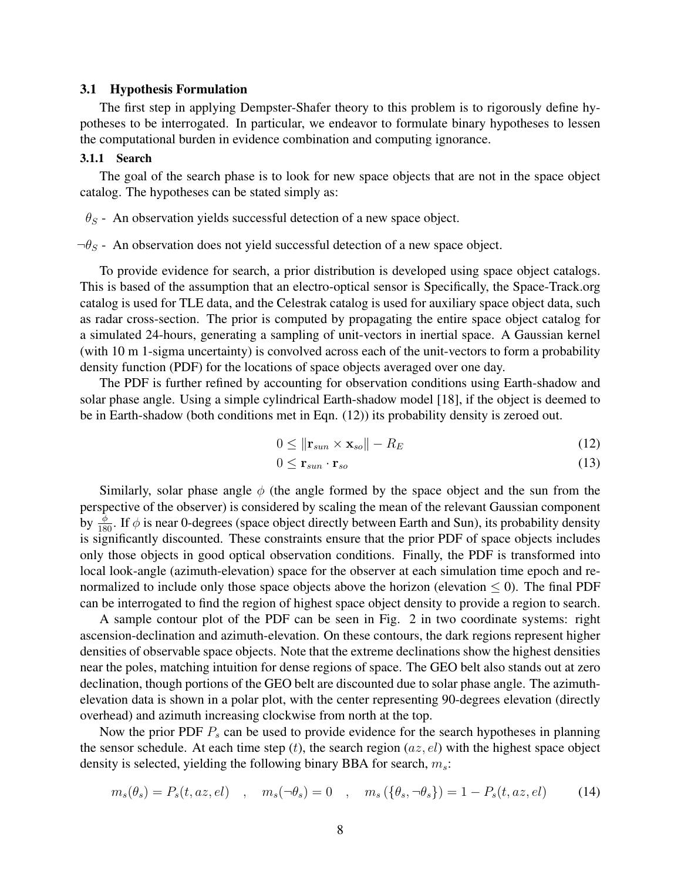#### 3.1 Hypothesis Formulation

The first step in applying Dempster-Shafer theory to this problem is to rigorously define hypotheses to be interrogated. In particular, we endeavor to formulate binary hypotheses to lessen the computational burden in evidence combination and computing ignorance.

#### 3.1.1 Search

The goal of the search phase is to look for new space objects that are not in the space object catalog. The hypotheses can be stated simply as:

 $\theta_S$  - An observation yields successful detection of a new space object.

 $\neg \theta_S$  - An observation does not yield successful detection of a new space object.

To provide evidence for search, a prior distribution is developed using space object catalogs. This is based of the assumption that an electro-optical sensor is Specifically, the Space-Track.org catalog is used for TLE data, and the Celestrak catalog is used for auxiliary space object data, such as radar cross-section. The prior is computed by propagating the entire space object catalog for a simulated 24-hours, generating a sampling of unit-vectors in inertial space. A Gaussian kernel (with 10 m 1-sigma uncertainty) is convolved across each of the unit-vectors to form a probability density function (PDF) for the locations of space objects averaged over one day.

The PDF is further refined by accounting for observation conditions using Earth-shadow and solar phase angle. Using a simple cylindrical Earth-shadow model [18], if the object is deemed to be in Earth-shadow (both conditions met in Eqn. (12)) its probability density is zeroed out.

$$
0 \le ||\mathbf{r}_{sun} \times \mathbf{x}_{so}|| - R_E \tag{12}
$$

$$
0 \leq \mathbf{r}_{sun} \cdot \mathbf{r}_{so} \tag{13}
$$

Similarly, solar phase angle  $\phi$  (the angle formed by the space object and the sun from the perspective of the observer) is considered by scaling the mean of the relevant Gaussian component by  $\frac{\phi}{180}$ . If  $\phi$  is near 0-degrees (space object directly between Earth and Sun), its probability density is significantly discounted. These constraints ensure that the prior PDF of space objects includes only those objects in good optical observation conditions. Finally, the PDF is transformed into local look-angle (azimuth-elevation) space for the observer at each simulation time epoch and renormalized to include only those space objects above the horizon (elevation  $\leq$  0). The final PDF can be interrogated to find the region of highest space object density to provide a region to search.

A sample contour plot of the PDF can be seen in Fig. 2 in two coordinate systems: right ascension-declination and azimuth-elevation. On these contours, the dark regions represent higher densities of observable space objects. Note that the extreme declinations show the highest densities near the poles, matching intuition for dense regions of space. The GEO belt also stands out at zero declination, though portions of the GEO belt are discounted due to solar phase angle. The azimuthelevation data is shown in a polar plot, with the center representing 90-degrees elevation (directly overhead) and azimuth increasing clockwise from north at the top.

Now the prior PDF  $P_s$  can be used to provide evidence for the search hypotheses in planning the sensor schedule. At each time step  $(t)$ , the search region  $(az, el)$  with the highest space object density is selected, yielding the following binary BBA for search,  $m_s$ :

$$
m_s(\theta_s) = P_s(t, az, el) \quad , \quad m_s(\neg \theta_s) = 0 \quad , \quad m_s(\{\theta_s, \neg \theta_s\}) = 1 - P_s(t, az, el) \tag{14}
$$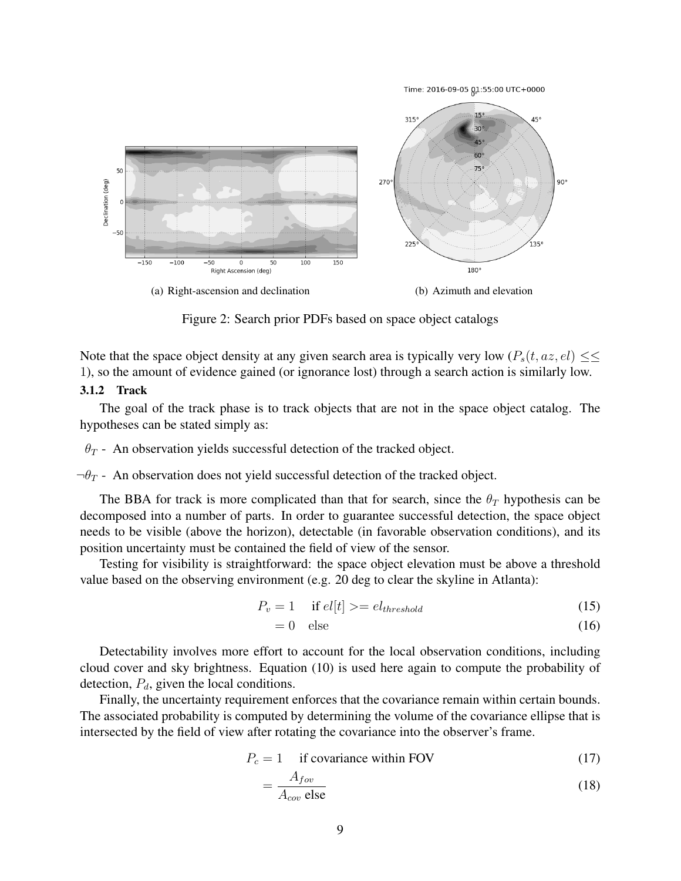Time: 2016-09-05 01:55:00 UTC+0000



Figure 2: Search prior PDFs based on space object catalogs

Note that the space object density at any given search area is typically very low  $(P_s(t, az, el) \leq \leq$ 1), so the amount of evidence gained (or ignorance lost) through a search action is similarly low.

#### 3.1.2 Track

The goal of the track phase is to track objects that are not in the space object catalog. The hypotheses can be stated simply as:

 $\theta_T$  - An observation yields successful detection of the tracked object.

 $\neg \theta_T$  - An observation does not yield successful detection of the tracked object.

The BBA for track is more complicated than that for search, since the  $\theta_T$  hypothesis can be decomposed into a number of parts. In order to guarantee successful detection, the space object needs to be visible (above the horizon), detectable (in favorable observation conditions), and its position uncertainty must be contained the field of view of the sensor.

Testing for visibility is straightforward: the space object elevation must be above a threshold value based on the observing environment (e.g. 20 deg to clear the skyline in Atlanta):

$$
P_v = 1 \quad \text{if } el[t] \geq e l_{threshold} \tag{15}
$$

$$
= 0 \quad \text{else} \tag{16}
$$

Detectability involves more effort to account for the local observation conditions, including cloud cover and sky brightness. Equation (10) is used here again to compute the probability of detection,  $P_d$ , given the local conditions.

Finally, the uncertainty requirement enforces that the covariance remain within certain bounds. The associated probability is computed by determining the volume of the covariance ellipse that is intersected by the field of view after rotating the covariance into the observer's frame.

$$
P_c = 1 \quad \text{if covariance within FOV} \tag{17}
$$

$$
=\frac{A_{fov}}{A_{cov} \text{ else}}
$$
 (18)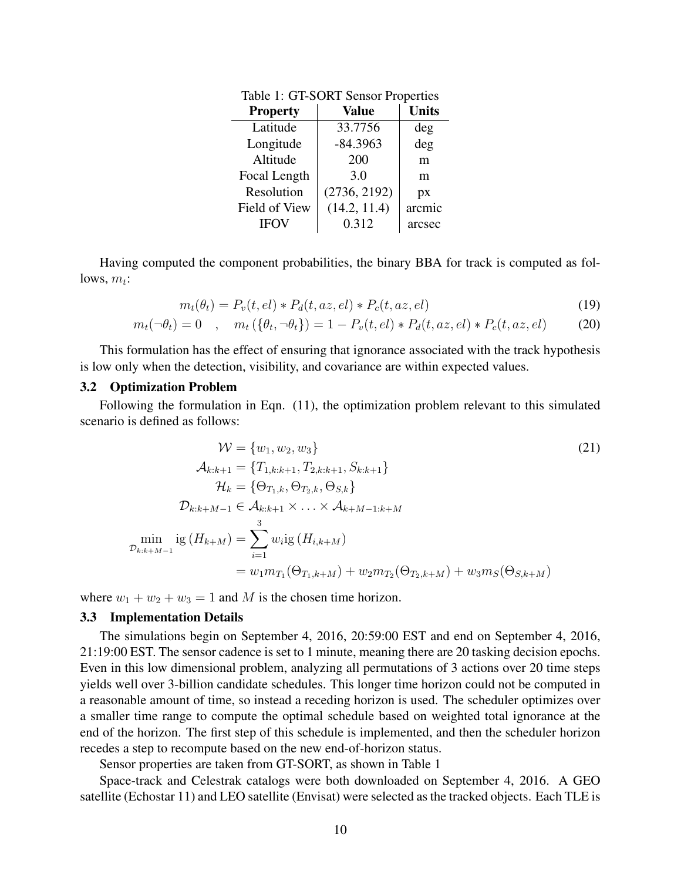| <b>Property</b> | <b>Value</b> | <b>Units</b> |
|-----------------|--------------|--------------|
| Latitude        | 33.7756      | deg          |
| Longitude       | $-84.3963$   | deg          |
| Altitude        | 200          | m            |
| Focal Length    | 3.0          | m            |
| Resolution      | (2736, 2192) | px           |
| Field of View   | (14.2, 11.4) | arcmic       |
| <b>IFOV</b>     | 0.312        | arcsec       |

Table 1: GT-SORT Sensor Properties

Having computed the component probabilities, the binary BBA for track is computed as follows,  $m_t$ :

$$
m_t(\theta_t) = P_v(t, el) * P_d(t, az, el) * P_c(t, az, el)
$$
\n(19)

$$
m_t(\neg \theta_t) = 0 \quad , \quad m_t(\{\theta_t, \neg \theta_t\}) = 1 - P_v(t, el) * P_d(t, az, el) * P_c(t, az, el)
$$
 (20)

This formulation has the effect of ensuring that ignorance associated with the track hypothesis is low only when the detection, visibility, and covariance are within expected values.

#### 3.2 Optimization Problem

Following the formulation in Eqn. (11), the optimization problem relevant to this simulated scenario is defined as follows:

$$
W = \{w_1, w_2, w_3\}
$$
\n
$$
\mathcal{A}_{k:k+1} = \{T_{1,k:k+1}, T_{2,k:k+1}, S_{k:k+1}\}
$$
\n
$$
\mathcal{H}_k = \{\Theta_{T_1,k}, \Theta_{T_2,k}, \Theta_{S,k}\}
$$
\n
$$
\mathcal{D}_{k:k+M-1} \in \mathcal{A}_{k:k+1} \times \ldots \times \mathcal{A}_{k+M-1:k+M}
$$
\n
$$
\min_{\mathcal{D}_{k:k+M-1}} \text{ig}(H_{k+M}) = \sum_{i=1}^3 w_i \text{ig}(H_{i,k+M})
$$
\n
$$
= w_1 m_{T_1}(\Theta_{T_1,k+M}) + w_2 m_{T_2}(\Theta_{T_2,k+M}) + w_3 m_S(\Theta_{S,k+M})
$$
\n(21)

where  $w_1 + w_2 + w_3 = 1$  and M is the chosen time horizon.

## 3.3 Implementation Details

The simulations begin on September 4, 2016, 20:59:00 EST and end on September 4, 2016, 21:19:00 EST. The sensor cadence is set to 1 minute, meaning there are 20 tasking decision epochs. Even in this low dimensional problem, analyzing all permutations of 3 actions over 20 time steps yields well over 3-billion candidate schedules. This longer time horizon could not be computed in a reasonable amount of time, so instead a receding horizon is used. The scheduler optimizes over a smaller time range to compute the optimal schedule based on weighted total ignorance at the end of the horizon. The first step of this schedule is implemented, and then the scheduler horizon recedes a step to recompute based on the new end-of-horizon status.

Sensor properties are taken from GT-SORT, as shown in Table 1

Space-track and Celestrak catalogs were both downloaded on September 4, 2016. A GEO satellite (Echostar 11) and LEO satellite (Envisat) were selected as the tracked objects. Each TLE is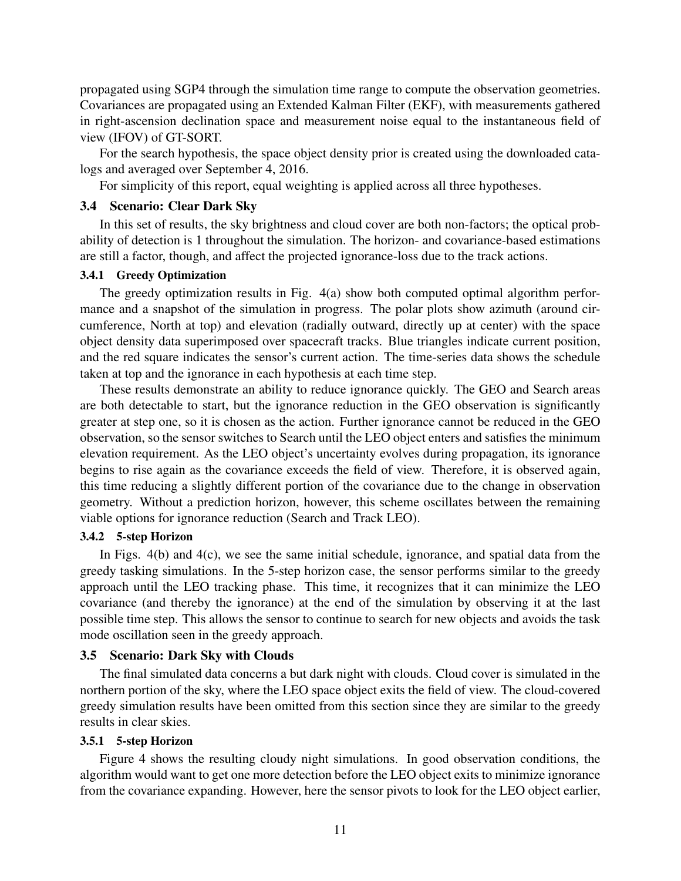propagated using SGP4 through the simulation time range to compute the observation geometries. Covariances are propagated using an Extended Kalman Filter (EKF), with measurements gathered in right-ascension declination space and measurement noise equal to the instantaneous field of view (IFOV) of GT-SORT.

For the search hypothesis, the space object density prior is created using the downloaded catalogs and averaged over September 4, 2016.

For simplicity of this report, equal weighting is applied across all three hypotheses.

## 3.4 Scenario: Clear Dark Sky

In this set of results, the sky brightness and cloud cover are both non-factors; the optical probability of detection is 1 throughout the simulation. The horizon- and covariance-based estimations are still a factor, though, and affect the projected ignorance-loss due to the track actions.

## 3.4.1 Greedy Optimization

The greedy optimization results in Fig. 4(a) show both computed optimal algorithm performance and a snapshot of the simulation in progress. The polar plots show azimuth (around circumference, North at top) and elevation (radially outward, directly up at center) with the space object density data superimposed over spacecraft tracks. Blue triangles indicate current position, and the red square indicates the sensor's current action. The time-series data shows the schedule taken at top and the ignorance in each hypothesis at each time step.

These results demonstrate an ability to reduce ignorance quickly. The GEO and Search areas are both detectable to start, but the ignorance reduction in the GEO observation is significantly greater at step one, so it is chosen as the action. Further ignorance cannot be reduced in the GEO observation, so the sensor switches to Search until the LEO object enters and satisfies the minimum elevation requirement. As the LEO object's uncertainty evolves during propagation, its ignorance begins to rise again as the covariance exceeds the field of view. Therefore, it is observed again, this time reducing a slightly different portion of the covariance due to the change in observation geometry. Without a prediction horizon, however, this scheme oscillates between the remaining viable options for ignorance reduction (Search and Track LEO).

#### 3.4.2 5-step Horizon

In Figs. 4(b) and 4(c), we see the same initial schedule, ignorance, and spatial data from the greedy tasking simulations. In the 5-step horizon case, the sensor performs similar to the greedy approach until the LEO tracking phase. This time, it recognizes that it can minimize the LEO covariance (and thereby the ignorance) at the end of the simulation by observing it at the last possible time step. This allows the sensor to continue to search for new objects and avoids the task mode oscillation seen in the greedy approach.

#### 3.5 Scenario: Dark Sky with Clouds

The final simulated data concerns a but dark night with clouds. Cloud cover is simulated in the northern portion of the sky, where the LEO space object exits the field of view. The cloud-covered greedy simulation results have been omitted from this section since they are similar to the greedy results in clear skies.

### 3.5.1 5-step Horizon

Figure 4 shows the resulting cloudy night simulations. In good observation conditions, the algorithm would want to get one more detection before the LEO object exits to minimize ignorance from the covariance expanding. However, here the sensor pivots to look for the LEO object earlier,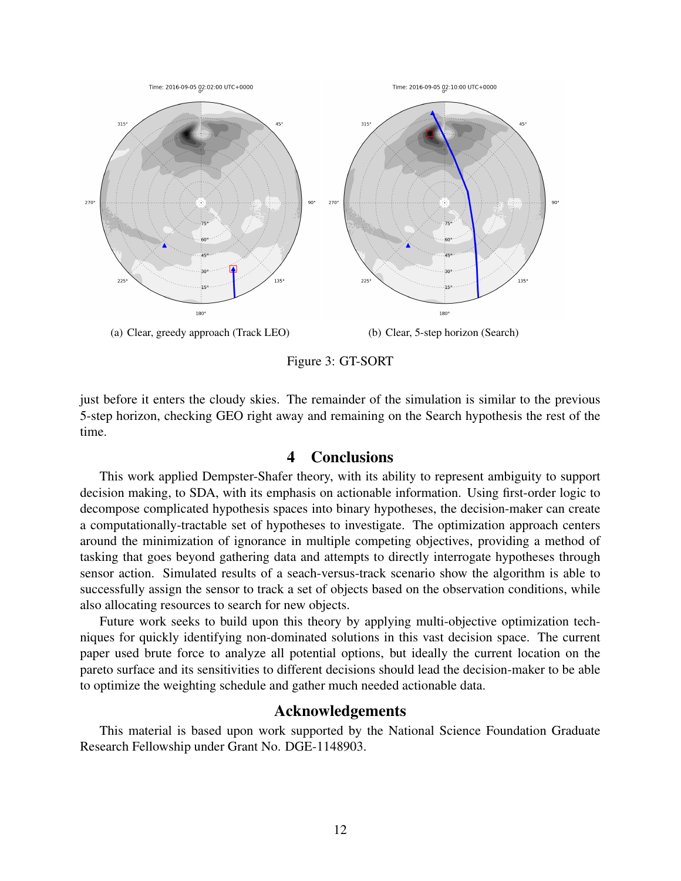

Figure 3: GT-SORT

just before it enters the cloudy skies. The remainder of the simulation is similar to the previous 5-step horizon, checking GEO right away and remaining on the Search hypothesis the rest of the time.

# 4 Conclusions

This work applied Dempster-Shafer theory, with its ability to represent ambiguity to support decision making, to SDA, with its emphasis on actionable information. Using first-order logic to decompose complicated hypothesis spaces into binary hypotheses, the decision-maker can create a computationally-tractable set of hypotheses to investigate. The optimization approach centers around the minimization of ignorance in multiple competing objectives, providing a method of tasking that goes beyond gathering data and attempts to directly interrogate hypotheses through sensor action. Simulated results of a seach-versus-track scenario show the algorithm is able to successfully assign the sensor to track a set of objects based on the observation conditions, while also allocating resources to search for new objects.

Future work seeks to build upon this theory by applying multi-objective optimization techniques for quickly identifying non-dominated solutions in this vast decision space. The current paper used brute force to analyze all potential options, but ideally the current location on the pareto surface and its sensitivities to different decisions should lead the decision-maker to be able to optimize the weighting schedule and gather much needed actionable data.

# Acknowledgements

This material is based upon work supported by the National Science Foundation Graduate Research Fellowship under Grant No. DGE-1148903.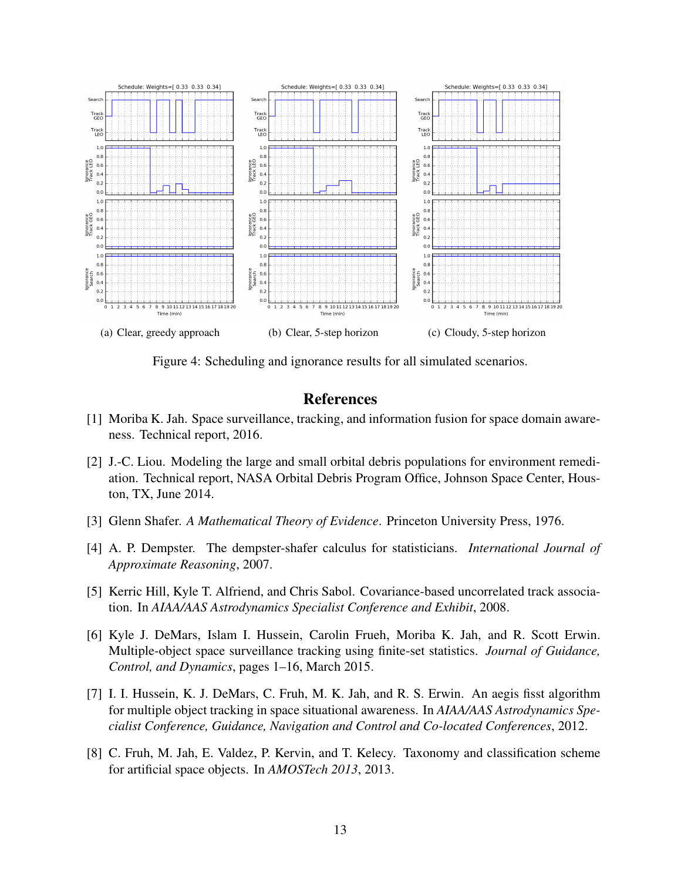

Figure 4: Scheduling and ignorance results for all simulated scenarios.

# **References**

- [1] Moriba K. Jah. Space surveillance, tracking, and information fusion for space domain awareness. Technical report, 2016.
- [2] J.-C. Liou. Modeling the large and small orbital debris populations for environment remediation. Technical report, NASA Orbital Debris Program Office, Johnson Space Center, Houston, TX, June 2014.
- [3] Glenn Shafer. *A Mathematical Theory of Evidence*. Princeton University Press, 1976.
- [4] A. P. Dempster. The dempster-shafer calculus for statisticians. *International Journal of Approximate Reasoning*, 2007.
- [5] Kerric Hill, Kyle T. Alfriend, and Chris Sabol. Covariance-based uncorrelated track association. In *AIAA/AAS Astrodynamics Specialist Conference and Exhibit*, 2008.
- [6] Kyle J. DeMars, Islam I. Hussein, Carolin Frueh, Moriba K. Jah, and R. Scott Erwin. Multiple-object space surveillance tracking using finite-set statistics. *Journal of Guidance, Control, and Dynamics*, pages 1–16, March 2015.
- [7] I. I. Hussein, K. J. DeMars, C. Fruh, M. K. Jah, and R. S. Erwin. An aegis fisst algorithm for multiple object tracking in space situational awareness. In *AIAA/AAS Astrodynamics Specialist Conference, Guidance, Navigation and Control and Co-located Conferences*, 2012.
- [8] C. Fruh, M. Jah, E. Valdez, P. Kervin, and T. Kelecy. Taxonomy and classification scheme for artificial space objects. In *AMOSTech 2013*, 2013.